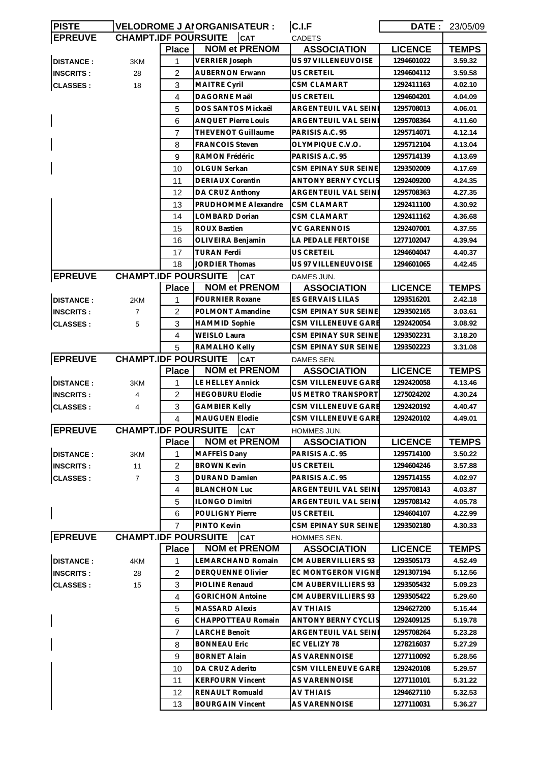| <b>PISTE</b>     |                             |                | <b>VELODROME J AIORGANISATEUR :</b> | C.I.F                       |                | <b>DATE: 23/05/09</b> |
|------------------|-----------------------------|----------------|-------------------------------------|-----------------------------|----------------|-----------------------|
| <b>EPREUVE</b>   | <b>CHAMPT.IDF POURSUITE</b> |                | <b>CAT</b>                          | <b>CADETS</b>               |                |                       |
|                  |                             | <b>Place</b>   | <b>NOM et PRENOM</b>                | <b>ASSOCIATION</b>          | <b>LICENCE</b> | <b>TEMPS</b>          |
| <b>DISTANCE:</b> | 3KM                         | 1              | <b>VERRIER Joseph</b>               | US 97 VILLENEUVOISE         | 1294601022     | 3.59.32               |
| <b>INSCRITS:</b> | 28                          | 2              | <b>AUBERNON Erwann</b>              | US CRETEIL                  | 1294604112     | 3.59.58               |
| <b>CLASSES:</b>  | 18                          | 3              | <b>MAITRE Cyril</b>                 | <b>CSM CLAMART</b>          | 1292411163     | 4.02.10               |
|                  |                             | 4              | <b>DAGORNE Maël</b>                 | US CRETEIL                  | 1294604201     | 4.04.09               |
|                  |                             | 5              | DOS SANTOS Mickaël                  | ARGENTEUIL VAL SEINE        | 1295708013     | 4.06.01               |
|                  |                             | 6              | <b>ANQUET Pierre Louis</b>          | <b>ARGENTEUIL VAL SEINE</b> | 1295708364     | 4.11.60               |
|                  |                             | $\overline{7}$ | <b>THEVENOT Guillaume</b>           | PARISIS A.C. 95             | 1295714071     | 4.12.14               |
|                  |                             | 8              | <b>FRANCOIS Steven</b>              | OLYMPIQUE C.V.O.            | 1295712104     | 4.13.04               |
|                  |                             | 9              | RAMON Frédéric                      | PARISIS A.C. 95             | 1295714139     | 4.13.69               |
|                  |                             | 10             | OLGUN Serkan                        | CSM EPINAY SUR SEINE        | 1293502009     | 4.17.69               |
|                  |                             | 11             | <b>DERIAUX Corentin</b>             | ANTONY BERNY CYCLIS         | 1292409200     | 4.24.35               |
|                  |                             | 12             | DA CRUZ Anthony                     | ARGENTEUIL VAL SEINE        | 1295708363     | 4.27.35               |
|                  |                             | 13             | PRUDHOMME Alexandre                 | CSM CLAMART                 | 1292411100     | 4.30.92               |
|                  |                             | 14             | LOMBARD Dorian                      | <b>CSM CLAMART</b>          | 1292411162     | 4.36.68               |
|                  |                             | 15             | ROUX Bastien                        | VC GARENNOIS                | 1292407001     | 4.37.55               |
|                  |                             | 16             | OLIVEIRA Benjamin                   | <b>LA PEDALE FERTOISE</b>   | 1277102047     | 4.39.94               |
|                  |                             | 17             | <b>TURAN Ferdi</b>                  | US CRETEIL                  | 1294604047     | 4.40.37               |
|                  |                             | 18             | <b>JORDIER Thomas</b>               | US 97 VILLENEUVOISE         | 1294601065     | 4.42.45               |
| <b>EPREUVE</b>   | <b>CHAMPT.IDF POURSUITE</b> |                | <b>CAT</b>                          | DAMES JUN.                  |                |                       |
|                  |                             | <b>Place</b>   | <b>NOM et PRENOM</b>                | <b>ASSOCIATION</b>          | <b>LICENCE</b> | <b>TEMPS</b>          |
| <b>DISTANCE:</b> | 2KM                         | 1              | <b>FOURNIER Roxane</b>              | ES GERVAIS LILAS            | 1293516201     | 2.42.18               |
| <b>INSCRITS:</b> | $\overline{7}$              | $\overline{2}$ | POLMONT Amandine                    | CSM EPINAY SUR SEINE        | 1293502165     | 3.03.61               |
| <b>CLASSES:</b>  | 5                           | 3              | <b>HAMMID Sophie</b>                | CSM VILLENEUVE GARE         | 1292420054     | 3.08.92               |
|                  |                             | 4              | <b>WEISLO Laura</b>                 | CSM EPINAY SUR SEINE        | 1293502231     | 3.18.20               |
|                  |                             | 5              | RAMALHO Kelly                       | CSM EPINAY SUR SEINE        | 1293502223     | 3.31.08               |
| <b>EPREUVE</b>   | <b>CHAMPT.IDF POURSUITE</b> |                | <b>CAT</b>                          | DAMES SEN.                  |                |                       |
|                  |                             | <b>Place</b>   | <b>NOM et PRENOM</b>                | <b>ASSOCIATION</b>          | <b>LICENCE</b> | <b>TEMPS</b>          |
| <b>DISTANCE:</b> | 3KM                         | 1              | <b>LE HELLEY Annick</b>             | CSM VILLENEUVE GARE         | 1292420058     | 4.13.46               |
| <b>INSCRITS:</b> | 4                           | $\overline{2}$ | <b>HEGOBURU Elodie</b>              | US METRO TRANSPORT          | 1275024202     | 4.30.24               |
| <b>CLASSES:</b>  | 4                           | 3              | <b>GAMBIER Kelly</b>                | CSM VILLENEUVE GARE         | 1292420192     | 4.40.47               |
|                  |                             | 4              | <b>MAUGUEN Elodie</b>               | CSM VILLENEUVE GARE         | 1292420102     | 4.49.01               |
| <b>EPREUVE</b>   | <b>CHAMPT.IDF POURSUITE</b> |                | <b>CAT</b>                          | HOMMES JUN.                 |                |                       |
|                  |                             | <b>Place</b>   | <b>NOM et PRENOM</b>                | <b>ASSOCIATION</b>          | <b>LICENCE</b> | <b>TEMPS</b>          |
| <b>DISTANCE:</b> | 3KM                         | 1              | MAFFETS Dany                        | PARISIS A.C. 95             | 1295714100     | 3.50.22               |
| <b>INSCRITS:</b> | 11                          | 2              | <b>BROWN Kevin</b>                  | US CRETEIL                  | 1294604246     | 3.57.88               |
| <b>CLASSES:</b>  | $\overline{7}$              | 3              | <b>DURAND Damien</b>                | PARISIS A.C. 95             | 1295714155     | 4.02.97               |
|                  |                             | 4              | <b>BLANCHON Luc</b>                 | ARGENTEUIL VAL SEINE        | 1295708143     | 4.03.87               |
|                  |                             | 5              | <b>ILONGO Dimitri</b>               | ARGENTEUIL VAL SEINE        | 1295708142     | 4.05.78               |
|                  |                             | 6              | <b>POULIGNY Pierre</b>              | US CRETEIL                  | 1294604107     | 4.22.99               |
|                  |                             | 7              | PINTO Kevin                         | CSM EPINAY SUR SEINE        | 1293502180     | 4.30.33               |
| <b>EPREUVE</b>   | <b>CHAMPT.IDF POURSUITE</b> |                | <b>CAT</b>                          | HOMMES SEN.                 |                |                       |
|                  |                             | <b>Place</b>   | <b>NOM et PRENOM</b>                | <b>ASSOCIATION</b>          | <b>LICENCE</b> | <b>TEMPS</b>          |
| <b>DISTANCE:</b> | 4KM                         | 1              | LEMARCHAND Romain                   | CM AUBERVILLIERS 93         | 1293505173     | 4.52.49               |
| <b>INSCRITS:</b> | 28                          | $\overline{2}$ | DERQUENNE Olivier                   | EC MONTGERON VIGNE          | 1291307194     | 5.12.56               |
| <b>CLASSES:</b>  |                             |                |                                     | CM AUBERVILLIERS 93         |                | 5.09.23               |
|                  | 15                          | 3              | PIOLINE Renaud                      |                             | 1293505432     |                       |
|                  |                             | 4              | <b>GORICHON Antoine</b>             | CM AUBERVILLIERS 93         | 1293505422     | 5.29.60               |
|                  |                             | 5              | <b>MASSARD Alexis</b>               | AV THIAIS                   | 1294627200     | 5.15.44               |
|                  |                             | 6              | CHAPPOTTEAU Romain                  | <b>ANTONY BERNY CYCLIS</b>  | 1292409125     | 5.19.78               |
|                  |                             | $\overline{7}$ | LARCHE Benoît                       | ARGENTEUIL VAL SEINE        | 1295708264     | 5.23.28               |
|                  |                             | 8              | <b>BONNEAU Eric</b>                 | EC VELIZY 78                | 1278216037     | 5.27.29               |
|                  |                             | 9              | <b>BORNET Alain</b>                 | <b>AS VARENNOISE</b>        | 1277110092     | 5.28.56               |
|                  |                             | 10             | DA CRUZ Aderito                     | CSM VILLENEUVE GARE         | 1292420108     | 5.29.57               |
|                  |                             | 11             | <b>KERFOURN Vincent</b>             | AS VARENNOISE               | 1277110101     | 5.31.22               |
|                  |                             | 12             | RENAULT Romuald                     | <b>AV THIAIS</b>            | 1294627110     | 5.32.53               |